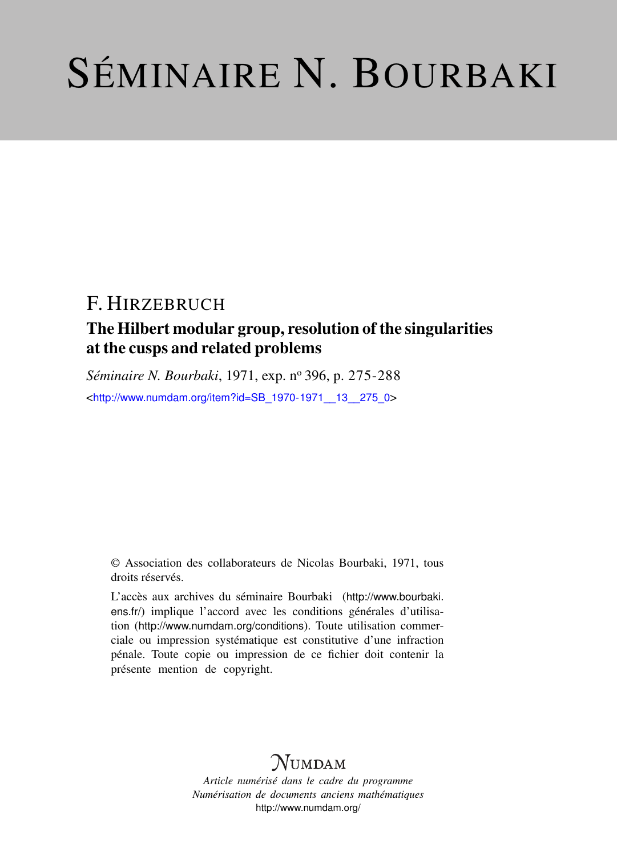# SÉMINAIRE N. BOURBAKI

## F. HIRZEBRUCH

## The Hilbert modular group, resolution of the singularities at the cusps and related problems

*Séminaire N. Bourbaki*, 1971, exp. nº 396, p. 275-288

<[http://www.numdam.org/item?id=SB\\_1970-1971\\_\\_13\\_\\_275\\_0](http://www.numdam.org/item?id=SB_1970-1971__13__275_0)>

© Association des collaborateurs de Nicolas Bourbaki, 1971, tous droits réservés.

L'accès aux archives du séminaire Bourbaki ([http://www.bourbaki.](http://www.bourbaki.ens.fr/) [ens.fr/](http://www.bourbaki.ens.fr/)) implique l'accord avec les conditions générales d'utilisation (<http://www.numdam.org/conditions>). Toute utilisation commerciale ou impression systématique est constitutive d'une infraction pénale. Toute copie ou impression de ce fichier doit contenir la présente mention de copyright.

## **NUMDAM**

*Article numérisé dans le cadre du programme Numérisation de documents anciens mathématiques* <http://www.numdam.org/>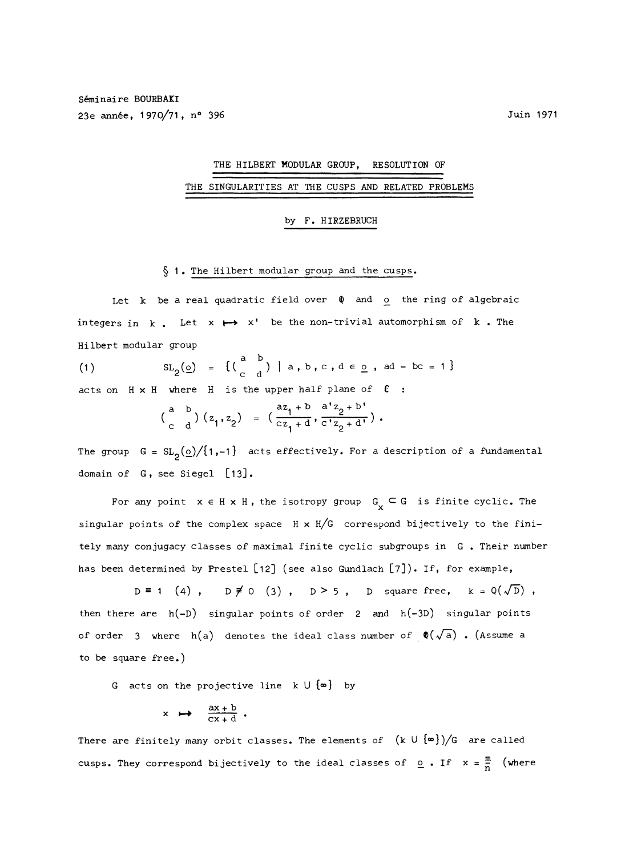## THE HILBERT MODULAR GROUP, RESOLUTION OF THE SINGULARITIES AT THE CUSPS AND RELATED PROBLEMS

#### by F. HIRZEBRUCH

#### § 1. The Hilbert modular group and the cusps.

Let  $k$  be a real quadratic field over  $\phi$  and  $o$  the ring of algebraic integers in  $k$ . Let  $x \mapsto x'$  be the non-trivial automorphism of  $k$ . The Hilbert modular group

(1) 
$$
SL_2(\underline{o}) = \{(\begin{array}{cc} a & b \\ c & d \end{array}) | a, b, c, d \in \underline{o}, ad - bc = 1\}
$$

acts on  $H \times H$  where  $H$  is the upper half plane of  $C$ :

$$
\begin{pmatrix} a & b \\ c & d \end{pmatrix} \begin{pmatrix} z_1, z_2 \end{pmatrix} = \begin{pmatrix} \frac{az_1 + b}{cz_1 + d}, \frac{a^2 z_2 + b^2}{c^2 z_2 + d^2} \end{pmatrix}.
$$

The group  $G = SL_2(\Omega)/\{1,-1\}$  acts effectively. For a description of a fundamental domain of G, see Siegel [13].

For any point  $x \in H \times H$ , the isotropy group  $G_x \subseteq G$  is finite cyclic. The singular points of the complex space  $H \times H/G$  correspond bijectively to the finitely many conjugacy classes of maximal finite cyclic subgroups in G . Their number has been determined by Prestel  $[12]$  (see also Gundlach  $[7]$ ). If, for example,

 $D \equiv 1$  (4),  $D \not\equiv 0$  (3),  $D > 5$ , D square free,  $k = Q(\sqrt{D})$ , then there are  $h(-D)$  singular points of order 2 and  $h(-3D)$  singular points of order 3 where  $h(a)$  denotes the ideal class number of  $\phi(\sqrt{a})$ . (Assume a to be square free.)

G acts on the projective line  $k \cup \{\infty\}$  by

$$
x \mapsto \frac{ax + b}{cx + d}.
$$

There are finitely many orbit classes. The elements of  $(k \cup {\lbrace \infty \rbrace})/G$  are called cusps. They correspond bijectively to the ideal classes of  $Q$ . If  $x = \frac{m}{n}$  (where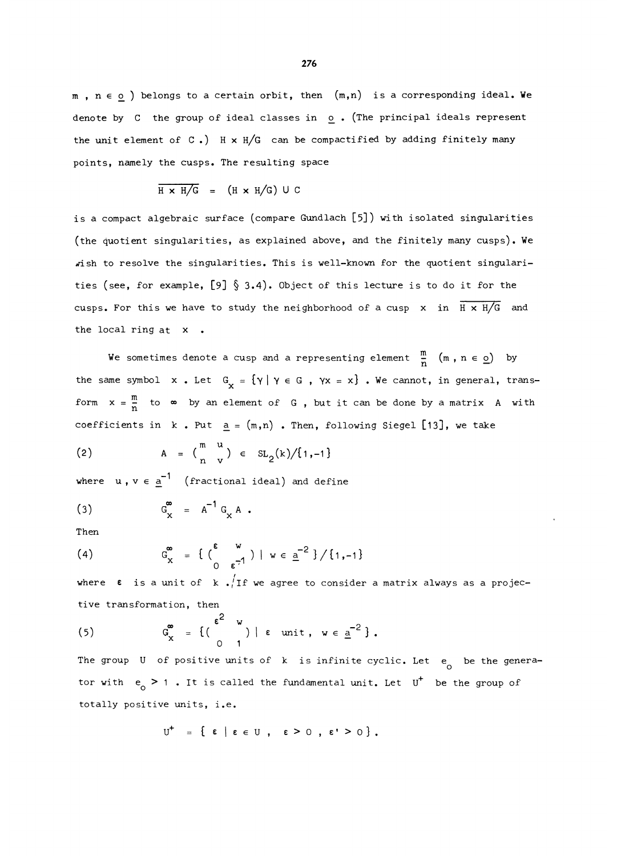$m$ ,  $n \in o$  ) belongs to a certain orbit, then  $(m,n)$  is a corresponding ideal. We denote by C the group of ideal classes in o . (The principal ideals represent the unit element of  $C.$  H x H/G can be compactified by adding finitely many points, namely the cusps. The resulting space

$$
\overline{H \times H/G} = (H \times H/G) \cup C
$$

is a compact algebraic surface (compare Gundlach [5]) with isolated singularities (the quotient singularities, as explained above, and the finitely many cusps). We wish to resolve the singularities. This is well-known for the quotient singularities (see, for example,  $[9]$   $\S$  3.4). Object of this lecture is to do it for the cusps. For this we have to study the neighborhood of a cusp x in  $\overline{H \times H/G}$  and the local ring at x .

We sometimes denote a cusp and a representing element  $\frac{m}{n}$   $(m, n \in \Omega)$  by the same symbol  $x$ . Let  $G_x = \{y \mid y \in G, yx = x\}$ . We cannot, in general, transform  $x = \frac{m}{n}$  to  $\infty$  by an element of G, but it can be done by a matrix A with coefficients in  $k$ . Put  $a = (m,n)$ . Then, following Siegel [13], we take

(2) 
$$
A = \begin{pmatrix} m & u \\ n & v \end{pmatrix} \in SL_2(k)/\{1,-1\}
$$

where  $u, v \in \underline{a}^{-1}$  (fractional ideal) and define

 $G_v^{\infty} = A^{-1} G_v A$ .  $(3)$ 

Then

(4) 
$$
G_x^{\infty} = \left\{ \begin{pmatrix} \epsilon & w \\ 0 & \epsilon^{-1} \end{pmatrix} | w \in \underline{a}^{-2} \right\} / \{1, -1\}
$$

where  $\epsilon$  is a unit of  $k$  . $^{'}$ If we agree to consider a matrix always as a projective transformation, then

(5) 
$$
\mathcal{G}_{\mathbf{x}}^{\bullet} = \{(\begin{array}{c} \mathbf{c}^{\mathbf{c}} & \mathbf{w} \\ 0 & 1 \end{array}) \mid \mathbf{c} \text{ unit, } \mathbf{w} \in \underline{a}^{-2}\}.
$$

The group U of positive units of k is infinite cyclic. Let  $e_{0}$  be the generator with  $e_0 > 1$ . It is called the fundamental unit. Let  $U^+$  be the group of totally positive units, i.e.

$$
U^{\dagger} = \{\ \epsilon \mid \epsilon \in U \ , \ \epsilon \geq 0 \ , \ \epsilon' \geq 0 \} .
$$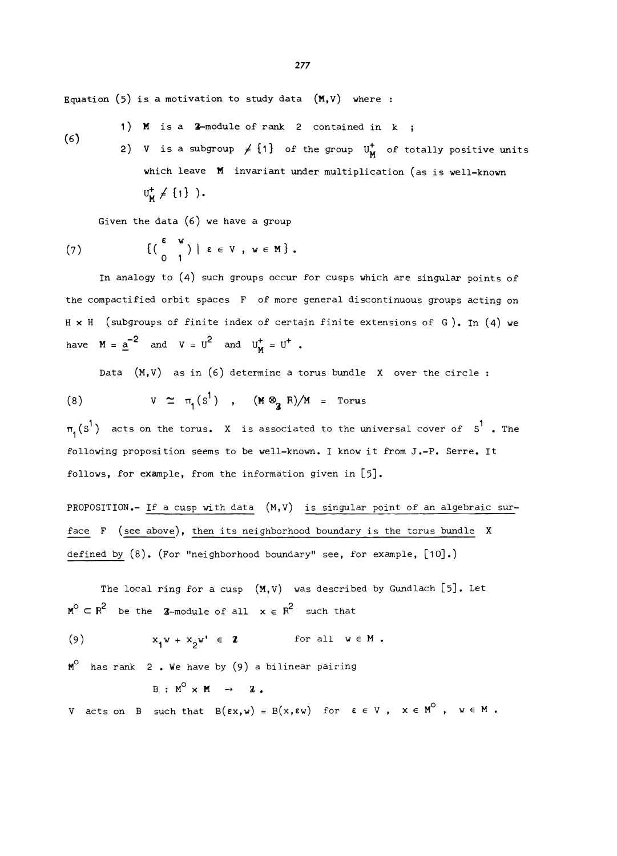Equation (5) is a motivation to study data  $(M, V)$  where :

- 1) M is a  $2$ -module of rank 2 contained in  $k$  ;
- (6) 2) V is a subgroup  $\neq \{1\}$  of the group  $U_{M}^{+}$  of totally positive units which leave **M** invariant under multiplication (as is well-known  $U_w^+ \neq \{1\}$ ).

Given the data (6) we have a group

(7) 
$$
\{(\begin{array}{c} \epsilon & w \\ 0 & 1 \end{array}) \mid \epsilon \in V, w \in M \}.
$$

In analogy to (4) such groups occur for cusps which are singular points of the compactified orbit spaces F of more general discontinuous groups acting on H x H (subgroups of finite index of certain finite extensions of G). In (4) we have  $M = \underline{a}^{-2}$  and  $V = U^2$  and  $U_M^+ = U^+$ .

Data  $(M, V)$  as in  $(6)$  determine a torus bundle X over the circle :

(8) 
$$
V \simeq \pi_1(S^1)
$$
,  $(M \otimes_{\mathbb{Z}} R)/M = \text{Torus}$ 

 $\pi_1(s^1)$  acts on the torus. X is associated to the universal cover of  $s^1$  . The following proposition seems to be well-known. I know it from J.-P. Serre. It follows, for example, from the information given in [5].

PROPOSITION.- If a cusp with data  $(M, V)$  is singular point of an algebraic surface F (see above), then its neighborhood boundary is the torus bundle X defined by (8). (For "neighborhood boundary" see, for example, [10].)

The local ring for a cusp  $(M, V)$  was described by Gundlach [5]. Let  $M^{\circ} \subset R^2$  be the Z-module of all  $x \in R^2$  such that

(9) 
$$
x_1 w + x_2 w' \in \mathbf{Z}
$$
 for all  $w \in M$ .

 $M^O$  has rank 2. We have by (9) a bilinear pairing

 $B : M^{\circ} \times M \rightarrow \mathbb{Z}$ .

V acts on B such that  $B(\epsilon x, w) = B(x, \epsilon w)$  for  $\epsilon \in V$ ,  $x \in M^{\circ}$ ,  $w \in M$ .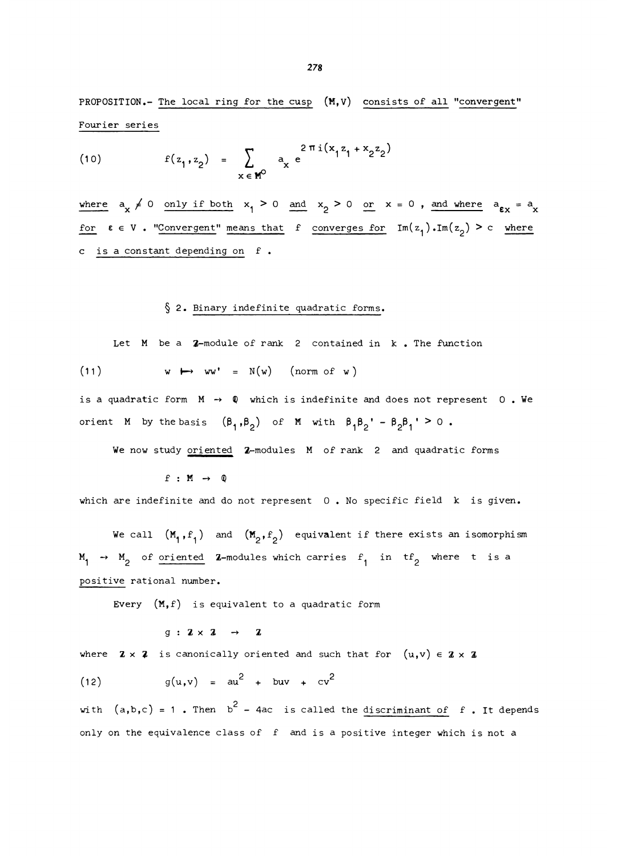PROPOSITION.- The local ring for the cusp (M,V) consists of all "convergent" Fourier series

(10) 
$$
f(z_1, z_2) = \sum_{x \in M^0} a_x e^{\frac{2 \pi i (x_1 z_1 + x_2 z_2)}{2}}
$$

where  $a_x \neq 0$  only if both  $x_1 > 0$  and  $x_2 > 0$  or  $x = 0$ , and where  $a_{\varepsilon x} = a_x$ for  $\varepsilon \in V$ . "Convergent" means that f converges for  $Im(z_1)$ .  $Im(z_2) > c$  where c is a constant depending on f .

#### § 2. Binary indefinite quadratic forms.

Let M be a 2-module of rank 2 contained in k. The function

(11) 
$$
w \mapsto ww' = N(w)
$$
 (norm of w)

is a quadratic form  $M \rightarrow \mathbb{Q}$  which is indefinite and does not represent 0. We orient M by the basis  $(\beta_1,\beta_2)$  of M with  $\beta_1\beta_2' - \beta_2\beta_1' \geq 0$ .

We now study oriented 2-modules M of rank 2 and quadratic forms

 $f : M \rightarrow Q$ 

which are indefinite and do not represent 0. No specific field k is given.

We call  $(M_1, f_1)$  and  $(M_2, f_2)$  equivalent if there exists an isomorphism  $M_1 \rightarrow M_2$  of oriented Z-modules which carries  $f_1$  in tf<sub>2</sub> where t is a positive rational number.

Every  $(M, f)$  is equivalent to a quadratic form

 $g : \mathbf{Z} \times \mathbf{Z} \rightarrow \mathbf{Z}$ 

where  $\mathbf{Z} \times \mathbf{Z}$  is canonically oriented and such that for  $(u,v) \in \mathbf{Z} \times \mathbf{Z}$ 

 $g(u,v) = au^2 + buv + cv^2$  $(12)$ 

with  $(a,b,c) = 1$ . Then  $b^2 - 4ac$  is called the discriminant of f. It depends only on the equivalence class of f and is a positive integer which is not a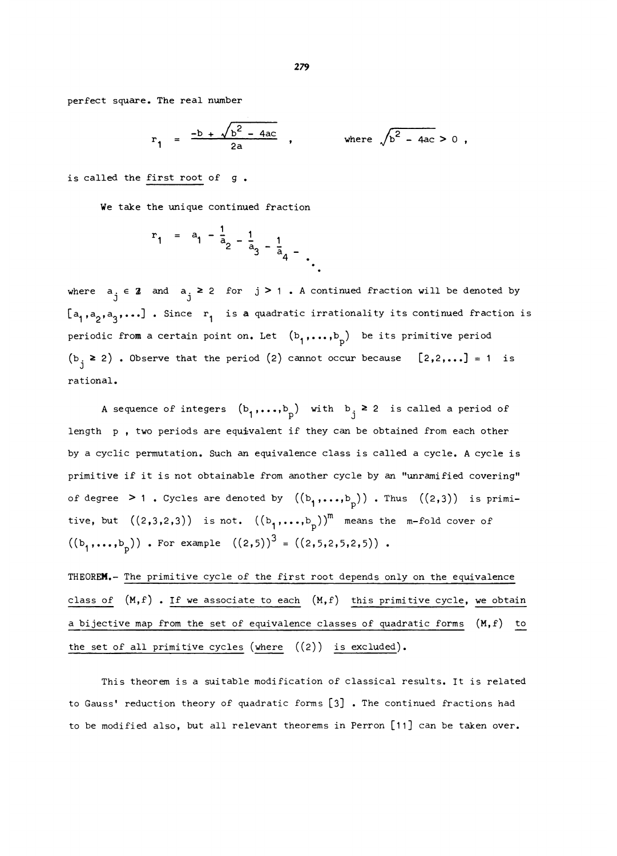perfect square. The real number

$$
r_1 = \frac{-b + \sqrt{b^2 - 4ac}}{2a}
$$
, where  $\sqrt{b^2 - 4ac} > 0$ ,

is called the first root of g.

We take the unique continued fraction

$$
r_1 = a_1 - \frac{1}{a_2} - \frac{1}{a_3} - \frac{1}{a_4} - \frac{1}{a_5}
$$

where  $a_i \in \mathbb{Z}$  and  $a_i \geq 2$  for  $j \geq 1$ . A continued fraction will be denoted by  $[a_1,a_2,a_3,\ldots]$  . Since  $r_1$  is a quadratic irrationality its continued fraction is periodic from a certain point on. Let  $(b_1, \ldots, b_n)$  be its primitive period  $(b_i \ge 2)$  . Observe that the period (2) cannot occur because  $[2,2,...] = 1$  is rational.

A sequence of integers  $(b_1,\ldots,b_p)$  with  $b_j \geq 2$  is called a period of length p , two periods are equivalent if they can be obtained from each other by a cyclic permutation. Such an equivalence class is called a cycle. A cycle is primitive if it is not obtainable from another cycle by an "unramified covering" of degree > 1. Cycles are denoted by  $((b_1,...,b_p))$ . Thus  $((2,3))$  is primitive, but  $((2,3,2,3))$  is not.  $((b_1,...,b_p))^m$  means the m-fold cover of  $((b_1,...,b_n))$ . For example  $((2,5))^3 = ((2,5,2,5,2,5))$ .

THEOREM.- The primitive cycle of the first root depends only on the equivalence class of (M,f) . If we associate to each (M,f) this primitive cycle, we obtain a bijective map from the set of equivalence classes of quadratic forms (M,f) to the set of all primitive cycles (where  $((2))$  is excluded).

This theorem is a suitable modification of classical results. It is related to Gauss' reduction theory of quadratic forms [3]. The continued fractions had to be modified also, but all relevant theorems in Perron [11] can be taken over.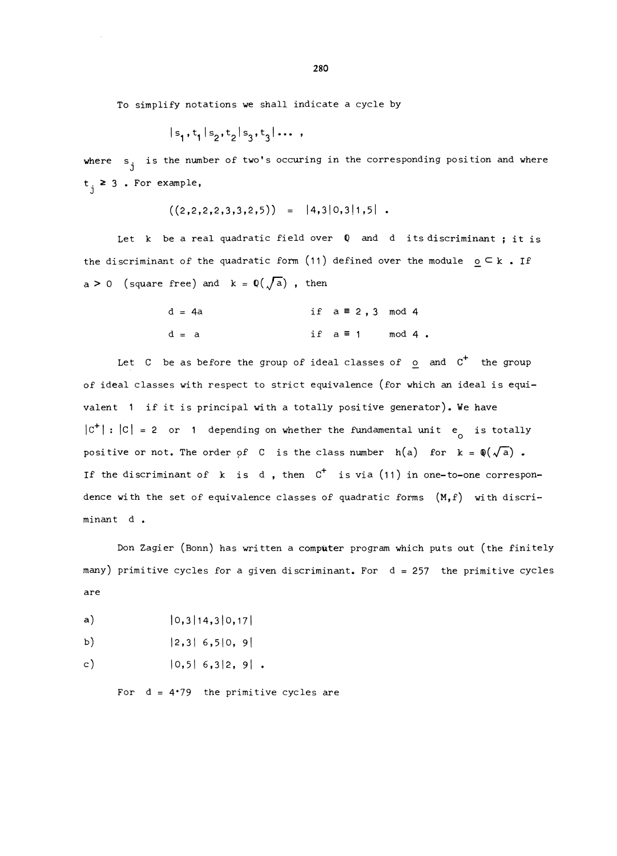To simplify notations we shall indicate a cycle by

$$
|s_1, t_1|s_2, t_2|s_3, t_3| \dots
$$

where  $s_i$  is the number of two's occuring in the corresponding position and where J  $t_i \geq 3$ . For example,

$$
((2,2,2,2,3,3,2,5)) = |4,3|0,3|1,5|.
$$

Let k be a real quadratic field over Q and d its discriminant; it is the discriminant of the quadratic form (11) defined over the module  $\circ \subset k$ . If a > 0 (square free) and  $k = Q(\sqrt{a})$ , then

$$
d = 4a
$$
 if  $a \equiv 2, 3 \mod 4$   
 $d = a$  if  $a \equiv 1 \mod 4$ .

Let  $C$  be as before the group of ideal classes of  $\circ$  and  $C^+$  the group of ideal classes with respect to strict equivalence (for which an ideal is equivalent 1 if it is principal with a totally positive generator). We have  $|C^+|:|C| = 2$  or 1 depending on whether the fundamental unit e is totally positive or not. The order of C is the class number  $h(a)$  for  $k = \phi(\sqrt{a})$ . If the discriminant of k is d, then  $C^+$  is via (11) in one-to-one correspondence with the set of equivalence classes of quadratic forms (M,f) with discriminant d .

Don Zagier (Bonn) has written a computer program which puts out (the finitely many) primitive cycles for a given discriminant. For d = 257 the primitive cycles are

- $a)$  $|0,3|14,3|0,17|$
- b)  $|2,3|$  6,5|0, 9|

 $|0,5|$  6,3|2, 9|.  $c)$ 

For  $d = 4.79$  the primitive cycles are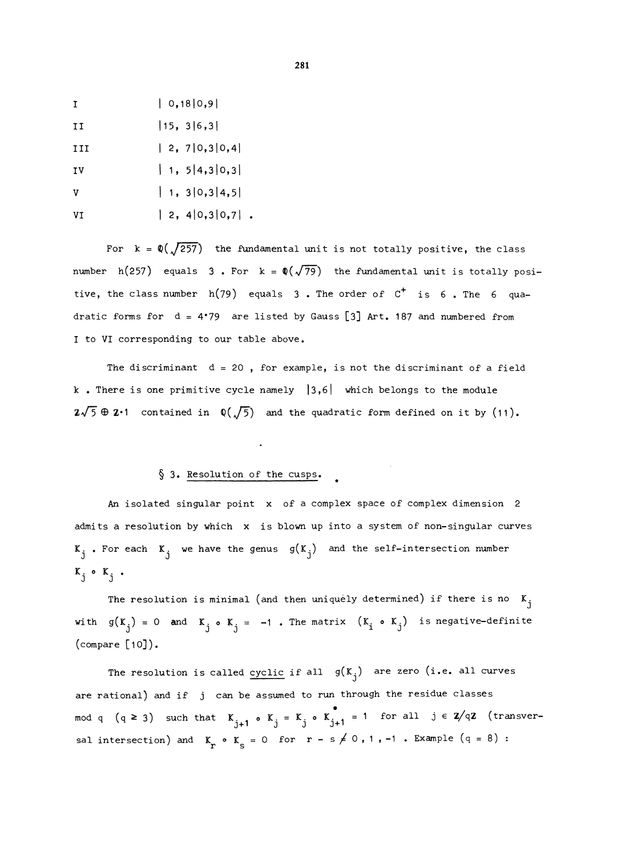$|0,18|0,9|$  $\mathbf{I}$ 

 $II$  $|15, 3|6, 3|$ 

 $|2, 7|0, 3|0, 4|$ III

 $\vert$  1, 5 | 4, 3 | 0, 3 | IV

 $1, 310, 314, 51$  $\mathbf v$ 

 $|2, 4|0, 3|0, 7|$ . **VT** 

For  $k = \mathbb{Q}(\sqrt{257})$  the fundamental unit is not totally positive, the class number h(257) equals 3. For  $k = \mathbb{Q}(\sqrt{79})$  the fundamental unit is totally positive, the class number  $h(79)$  equals 3. The order of  $C^+$  is 6. The 6 quadratic forms for  $d = 4'79$  are listed by Gauss [3] Art. 187 and numbered from I to VI corresponding to our table above.

The discriminant  $d = 20$ , for example, is not the discriminant of a field k . There is one primitive cycle namely  $|3,6|$  which belongs to the module  $2\sqrt{5} \oplus 2\cdot 1$  contained in  $\mathbb{Q}(\sqrt{5})$  and the quadratic form defined on it by (11).

#### § 3. Resolution of the cusps.

An isolated singular point x of a complex space of complex dimension 2 admits a resolution by which x is blown up into a system of non-singular curves  $K_i$  . For each  $K_i$  we have the genus  $g(K_i)$  and the self-intersection number  $K_j \circ K_j$ .

The resolution is minimal (and then uniquely determined) if there is no  $K_j$ with  $g(K_i) = 0$  and  $K_i \circ K_i = -1$ . The matrix  $(K_i \circ K_j)$  is negative-definite (compare [10]).

The resolution is called cyclic if all  $g(K_i)$  are zero (i.e. all curves are rational) and if j can be assumed to run through the residue classes mod q  $(q \ge 3)$  such that  $K_{i+1}$  o  $K_j = K_j$  o  $K_{j+1}$  = 1 for all  $j \in \mathbb{Z}/q\mathbb{Z}$  (transversal intersection) and  $K_r \circ K_s = 0$  for  $r - s \neq 0, 1, -1$  . Example  $(q = 8)$  :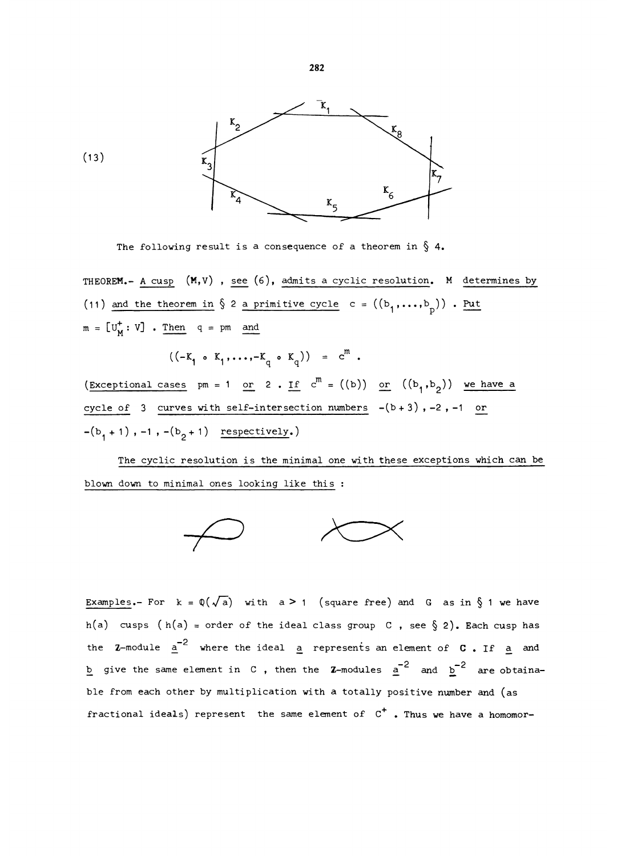

The following result is a consequence of a theorem in  $\S$  4.

THEOREM.- A cusp  $(M, V)$ , see (6), admits a cyclic resolution. M determines by (11) and the theorem in  $\S$  2 a primitive cycle c =  $((b_1, ..., b_p))$ . Put  $m = [U_M^+ : V]$  . Then  $q = pm$  and

 $((-K_1 \circ K_1, \ldots, -K_n \circ K_n)) = c^m$ .

(Exceptional cases pm = 1 or 2 . If  $c^{m} = ((b))$  or  $((b_{1},b_{2}))$  we have a cycle of 3 curves with self-intersection numbers  $-(b+3)$ , -2, -1 or  $-(b_1 + 1)$ ,  $-1$ ,  $-(b_2 + 1)$  respectively.)

The cyclic resolution is the minimal one with these exceptions which can be blown down to minimal ones looking like this :



Examples.- For  $k = \mathbb{Q}(\sqrt{a})$  with  $a \ge 1$  (square free) and G as in § 1 we have h(a) cusps (h(a) = order of the ideal class group C, see § 2). Each cusp has the Z-module  $a^{-2}$  where the ideal a represents an element of C. If a and b give the same element in C , then the Z-modules  $a^{-2}$  and  $b^{-2}$  are obtainable from each other by multiplication with a totally positive number and (as fractional ideals) represent the same element of  $C^+$  . Thus we have a homomor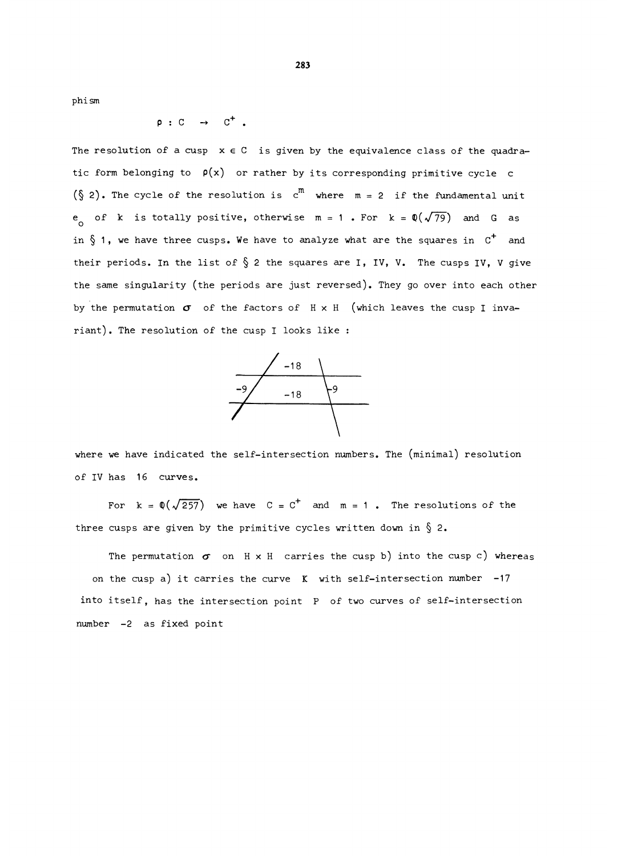phism

 $p : C \rightarrow C^+$ .

The resolution of a cusp  $x \in C$  is given by the equivalence class of the quadratic form belonging to  $\rho(x)$  or rather by its corresponding primitive cycle c  $(\S 2)$ . The cycle of the resolution is  $c^{m}$  where  $m = 2$  if the fundamental unit e of k is totally positive, otherwise  $m = 1$ . For  $k = \mathbb{Q}(\sqrt{79})$  and G as in § 1, we have three cusps. We have to analyze what are the squares in  $C^+$  and their periods. In the list of  $\S$  2 the squares are I, IV, V. The cusps IV, V give the same singularity (the periods are just reversed). They go over into each other by the permutation  $\sigma$  of the factors of  $H \times H$  (which leaves the cusp I invariant). The resolution of the cusp I looks like :



where we have indicated the self-intersection numbers. The (minimal) resolution of IV has 16 curves.

For  $k = \phi(\sqrt{257})$  we have  $C = C^+$  and  $m = 1$ . The resolutions of the three cusps are given by the primitive cycles written down in  $\S$  2.

The permutation  $\sigma$  on  $H \times H$  carries the cusp b) into the cusp c) whereas on the cusp a) it carries the curve  $K$  with self-intersection number -17 into itself, has the intersection point P of two curves of self-intersection number -2 as fixed point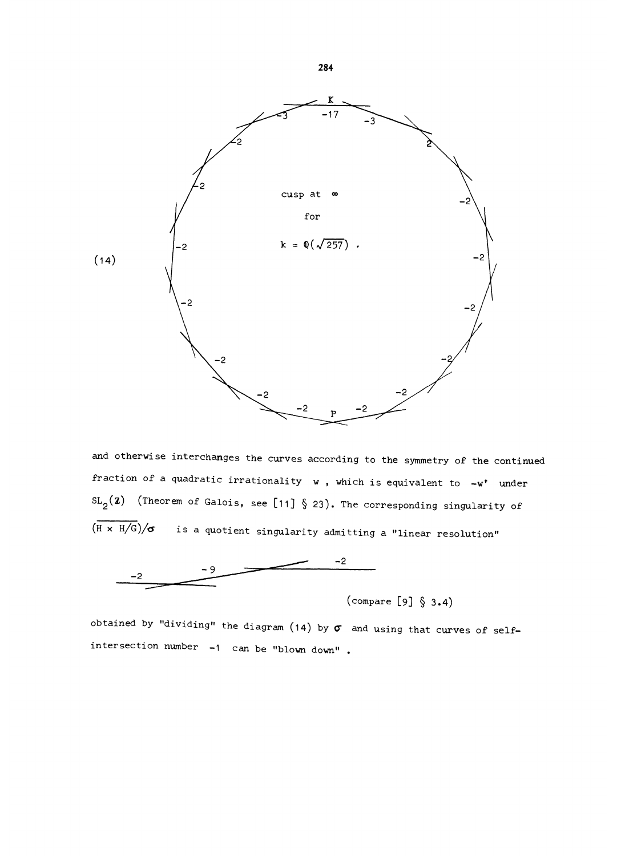

and otherwise interchanges the curves according to the symmetry of the continued fraction of a quadratic irrationality  $w$ , which is equivalent to  $-w^*$  under  $SL_2(2)$  (Theorem of Galois, see [11] § 23). The corresponding singularity of  $(\overline{H \times H/G})/\sigma$  is a quotient singularity admitting a "linear resolution"



(compare  $[9]$  § 3.4)

obtained by "dividing" the diagram (14) by  $\sigma$  and using that curves of selfintersection number -1 can be "blown down" .

284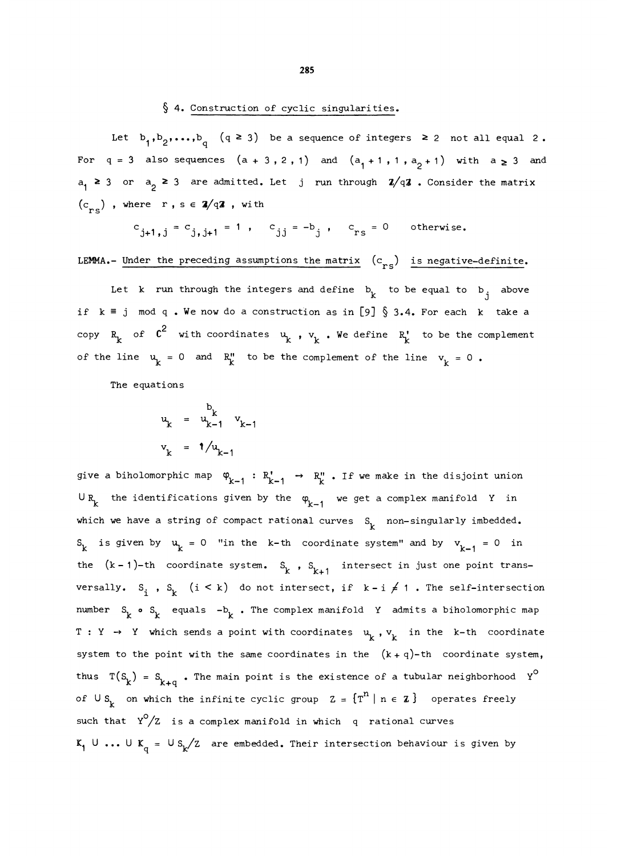#### § 4. Construction of cyclic singularities.

Let  $b_1, b_2, \ldots, b_d$   $(q \ge 3)$  be a sequence of integers  $\ge 2$  not all equal 2. For  $q = 3$  also sequences  $(a + 3, 2, 1)$  and  $(a_1 + 1, 1, a_2 + 1)$  with  $a \ge 3$  and  $a_1 \geq 3$  or  $a_2 \geq 3$  are admitted. Let j run through  $2/q2$ . Consider the matrix  $(c_{res})$ , where r, s  $\in \mathbb{Z}/q\mathbb{Z}$ , with

$$
c_{j+1,j} = c_{j,j+1} = 1
$$
,  $c_{j,j} = -b_j$ ,  $c_{rs} = 0$  otherwise.

LEMMA.- Under the preceding assumptions the matrix  $(c_{rs})$  is negative-definite.

Let k run through the integers and define  $b_k$  to be equal to  $b_i$  above if  $k \equiv j \mod q$ . We now do a construction as in [9] § 3.4. For each k take a copy  $R_k$  of  $C^2$  with coordinates  $u_k$ ,  $v_k$ . We define  $R_k'$  to be the complement of the line  $u_k = 0$  and  $R_k''$  to be the complement of the line  $v_k = 0$ .

The equations

$$
u_k = u_{k-1}^{b_k} v_{k-1}
$$
  

$$
v_k = 1/u_{k-1}
$$

give a biholomorphic map  $\varphi_{k-1} : R_{k-1}^{\prime} \rightarrow R_{k}^{\prime\prime}$ . If we make in the disjoint union  $\cup$  R<sub>k</sub> the identifications given by the  $\varphi$ <sub>k-1</sub> we get a complex manifold Y in which we have a string of compact rational curves  $S_k$  non-singularly imbedded.  $S_k$  is given by  $u_k = 0$  "in the k-th coordinate system" and by  $v_{k-1} = 0$  in the  $(k-1)-th$  coordinate system. S<sub>k</sub>, S<sub>k+1</sub> intersect in just one point transversally.  $S_i$ ,  $S_k$  (i < k) do not intersect, if  $k - i \neq 1$ . The self-intersection number  $S_k$  o  $S_k$  equals  $-b_k$ . The complex manifold Y admits a biholomorphic map  $T : Y \rightarrow Y$  which sends a point with coordinates  $u_k$ ,  $v_k$  in the k-th coordinate system to the point with the same coordinates in the  $(k+q)-th$  coordinate system, thus  $T(S_k) = S_{k+q}$ . The main point is the existence of a tubular neighborhood  $Y^{\circ}$ of  $\cup s_k$  on which the infinite cyclic group  $z = \{T^n \mid n \in \mathbb{Z}\}\$  operates freely such that  $Y^0/Z$  is a complex manifold in which q rational curves  $K_1 \cup ... \cup K_q = \cup S_k / Z$  are embedded. Their intersection behaviour is given by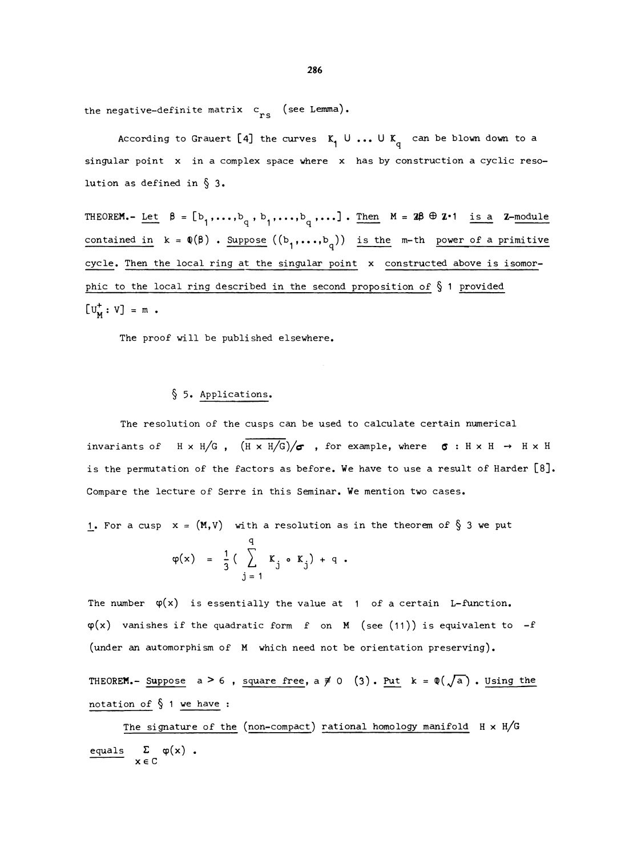the negative-definite matrix  $c_{res}$  (see Lemma).

According to Grauert [4] the curves  $K_1 \cup ... \cup K_q$  can be blown down to a singular point x in a complex space where x has by construction a cyclic resolution as defined in  $\S$  3.

THEOREM.- Let  $\beta = [b_1,\ldots,b_q, b_1,\ldots,b_q, \ldots]$ . Then  $M = 2\beta \oplus 2-1$  is a Z-module contained in  $k = \Phi(\beta)$ . Suppose  $((b_1,...,b_q))$  is the m-th power of a primitive cycle. Then the local ring at the singular point x constructed above is isomorphic to the local ring described in the second proposition of  $\S$  1 provided  $[U_{\mathbf{M}}^{+} : V] = m$ .

The proof will be published elsewhere.

#### § 5. Applications.

The resolution of the cusps can be used to calculate certain numerical invariants of  $H \times H/G$ ,  $(\overline{H \times H/G})/\sigma$ , for example, where  $\sigma : H \times H \rightarrow H \times H$ is the permutation of the factors as before. We have to use a result of Harder [8]. Compare the lecture of Serre in this Seminar. We mention two cases.

1. For a cusp  $x = (M, V)$  with a resolution as in the theorem of  $\S$  3 we put

$$
\varphi(x) = \frac{1}{3} \left( \sum_{j=1}^{q} K_j \cdot K_j \right) + q
$$
.

The number  $\varphi(x)$  is essentially the value at 1 of a certain L-function.  $\varphi(x)$  vanishes if the quadratic form f on M (see (11)) is equivalent to  $-f$ (under an automorphism of M which need not be orientation preserving).

THEOREM.- Suppose  $a > 6$ , square free,  $a \neq 0$  (3). Put  $k = \mathbb{Q}(\sqrt{a})$ . Using the notation of  $§$  1 we have :

The signature of the (non-compact) rational homology manifold  $H \times H/G$ The signature<br>
equals  $\sum_{x \in C} \varphi(x)$ .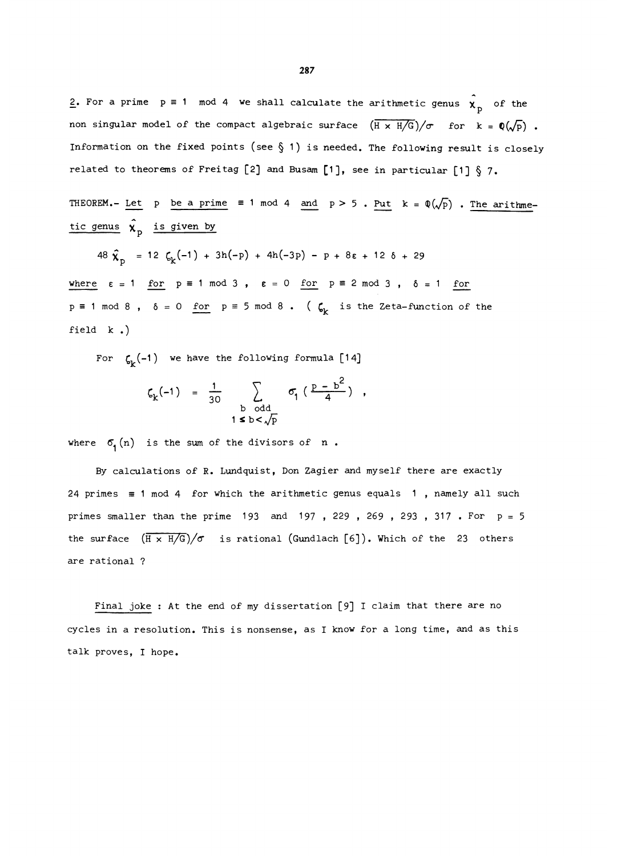2. For a prime  $p \equiv 1 \mod 4$  we shall calculate the arithmetic genus  $\hat{\chi}_p$  of the non singular model of the compact algebraic surface  $(\overline{H} \times \overline{H/G})/\sigma$  for  $k = \mathbb{Q}(\sqrt{p})$ . Information on the fixed points (see  $\S$  1) is needed. The following result is closely related to theorems of Freitag [2] and Busam [1], see in particular [1]  $\S$  7.

THEOREM.- Let p be a prime  $\equiv$  1 mod 4 and p > 5. Put k =  $\mathbb{Q}(\sqrt{p})$ . The arithmetic genus  $\hat{\chi}_p$  is given by

$$
48 \hat{\chi}_p = 12 \zeta_k(-1) + 3h(-p) + 4h(-3p) - p + 8\varepsilon + 12 \delta + 29
$$

where  $\varepsilon = 1$  for  $p \equiv 1 \mod 3$ ,  $\varepsilon = 0$  for  $p \equiv 2 \mod 3$ ,  $\delta = 1$  for  $p \equiv 1 \mod 8$ ,  $\delta = 0$  for  $p \equiv 5 \mod 8$ . ( $\zeta_k$  is the Zeta-function of the field k .)

For  $\zeta_{\mathbf{k}}(-1)$  we have the following formula [14]

$$
\zeta_{k}(-1) = \frac{1}{30} \sum_{\substack{b \text{ odd} \\ 1 \leq b < \sqrt{p}}} \sigma_{1} \left( \frac{p - b^{2}}{4} \right) ,
$$

where  $\sigma_{1}(n)$  is the sum of the divisors of n.

By calculations of R. Lundquist, Don Zagier and myself there are exactly 24 primes  $\equiv$  1 mod 4 for which the arithmetic genus equals 1, namely all such primes smaller than the prime 193 and 197, 229, 269, 293, 317. For  $p = 5$ the surface  $(\overline{H \times H/G})/\sigma$  is rational (Gundlach [6]). Which of the 23 others are rational ?

Final joke : At the end of my dissertation [9] I claim that there are no cycles in a resolution. This is nonsense, as I know for a long time, and as this talk proves, I hope.